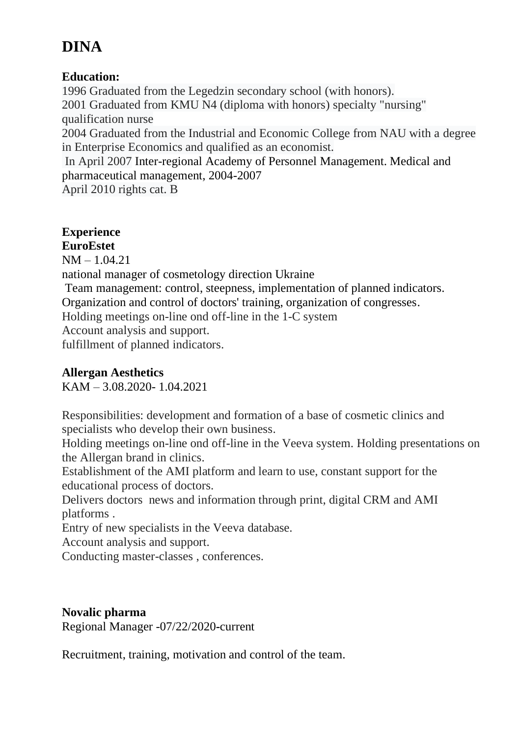# **DINA**

#### **Education:**

1996 Graduated from the Legedzin secondary school (with honors). 2001 Graduated from KMU N4 (diploma with honors) specialty "nursing" qualification nurse

2004 Graduated from the Industrial and Economic College from NAU with a degree in Enterprise Economics and qualified as an economist.

In April 2007 Inter-regional Academy of Personnel Management. Medical and pharmaceutical management, 2004-2007

April 2010 rights cat. B

# **Experience**

**EuroEstet**  $NM - 1.04.21$ 

national manager of cosmetology direction Ukraine

Team management: control, steepness, implementation of planned indicators.

Organization and control of doctors' training, organization of congresses.

Holding meetings on-line ond off-line in the 1-C system

Account analysis and support.

fulfillment of planned indicators.

### **Allergan Aesthetics**

KAM – 3.08.2020- 1.04.2021

Responsibilities: development and formation of a base of cosmetic clinics and specialists who develop their own business.

Holding meetings on-line ond off-line in the Veeva system. Holding presentations on the Allergan brand in clinics.

Establishment of the AMI platform and learn to use, constant support for the educational process of doctors.

Delivers doctors news and information through print, digital CRM and AMI platforms .

Entry of new specialists in the Veeva database.

Account analysis and support.

Conducting master-classes , conferences.

#### **Novalic pharma**

Regional Manager -07/22/2020**-**current

Recruitment, training, motivation and control of the team.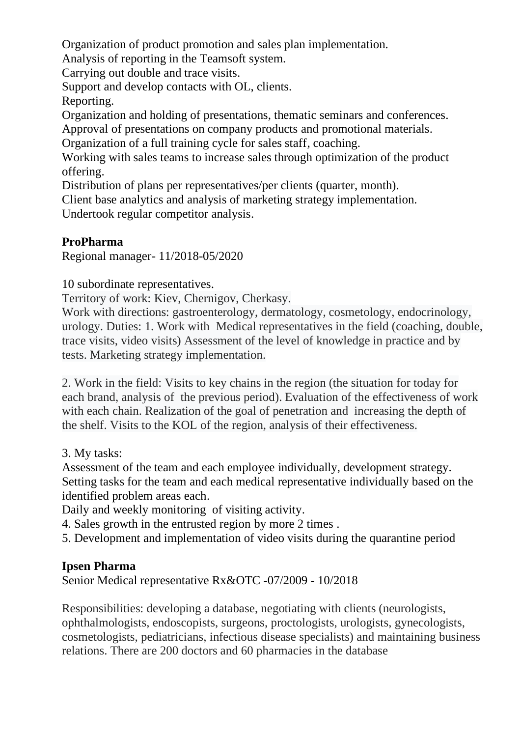Organization of product promotion and sales plan implementation.

Analysis of reporting in the Teamsoft system.

Carrying out double and trace visits.

Support and develop contacts with OL, clients.

Reporting.

Organization and holding of presentations, thematic seminars and conferences.

Approval of presentations on company products and promotional materials.

Organization of a full training cycle for sales staff, coaching.

Working with sales teams to increase sales through optimization of the product offering.

Distribution of plans per representatives/per clients (quarter, month).

Client base analytics and analysis of marketing strategy implementation.

Undertook regular competitor analysis.

## **ProPharma**

Regional manager- 11/2018-05/2020

10 subordinate representatives.

Territory of work: Kiev, Chernigov, Cherkasy.

Work with directions: gastroenterology, dermatology, cosmetology, endocrinology, urology. Duties: 1. Work with Medical representatives in the field (coaching, double, trace visits, video visits) Assessment of the level of knowledge in practice and by tests. Marketing strategy implementation.

2. Work in the field: Visits to key chains in the region (the situation for today for each brand, analysis of the previous period). Evaluation of the effectiveness of work with each chain. Realization of the goal of penetration and increasing the depth of the shelf. Visits to the KOL of the region, analysis of their effectiveness.

3. My tasks:

Assessment of the team and each employee individually, development strategy. Setting tasks for the team and each medical representative individually based on the identified problem areas each.

Daily and weekly monitoring of visiting activity.

- 4. Sales growth in the entrusted region by more 2 times .
- 5. Development and implementation of video visits during the quarantine period

### **Ipsen Pharma**

Senior Medical representative Rx&OTC **-**07/2009 - 10/2018

Responsibilities: developing a database, negotiating with clients (neurologists, ophthalmologists, endoscopists, surgeons, proctologists, urologists, gynecologists, cosmetologists, pediatricians, infectious disease specialists) and maintaining business relations. There are 200 doctors and 60 pharmacies in the database